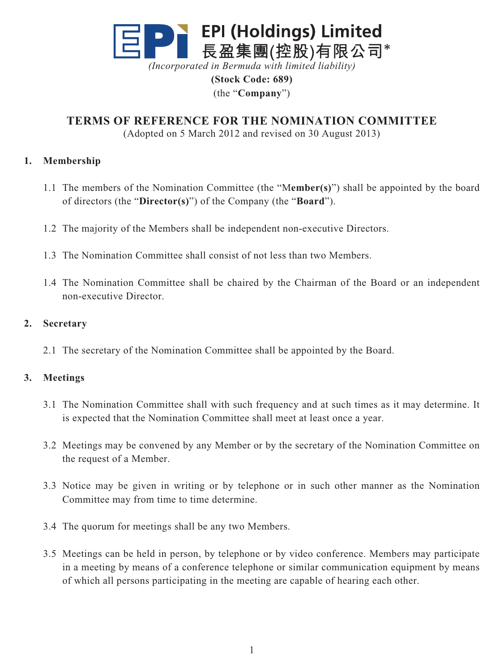

*(Incorporated in Bermuda with limited liability)*

**(Stock Code: 689)** (the "**Company**")

**TERMS OF REFERENCE FOR THE NOMINATION COMMITTEE**

(Adopted on 5 March 2012 and revised on 30 August 2013)

## **1. Membership**

- 1.1 The members of the Nomination Committee (the "M**ember(s)**") shall be appointed by the board of directors (the "**Director(s)**") of the Company (the "**Board**").
- 1.2 The majority of the Members shall be independent non-executive Directors.
- 1.3 The Nomination Committee shall consist of not less than two Members.
- 1.4 The Nomination Committee shall be chaired by the Chairman of the Board or an independent non-executive Director.

### **2. Secretary**

2.1 The secretary of the Nomination Committee shall be appointed by the Board.

## **3. Meetings**

- 3.1 The Nomination Committee shall with such frequency and at such times as it may determine. It is expected that the Nomination Committee shall meet at least once a year.
- 3.2 Meetings may be convened by any Member or by the secretary of the Nomination Committee on the request of a Member.
- 3.3 Notice may be given in writing or by telephone or in such other manner as the Nomination Committee may from time to time determine.
- 3.4 The quorum for meetings shall be any two Members.
- 3.5 Meetings can be held in person, by telephone or by video conference. Members may participate in a meeting by means of a conference telephone or similar communication equipment by means of which all persons participating in the meeting are capable of hearing each other.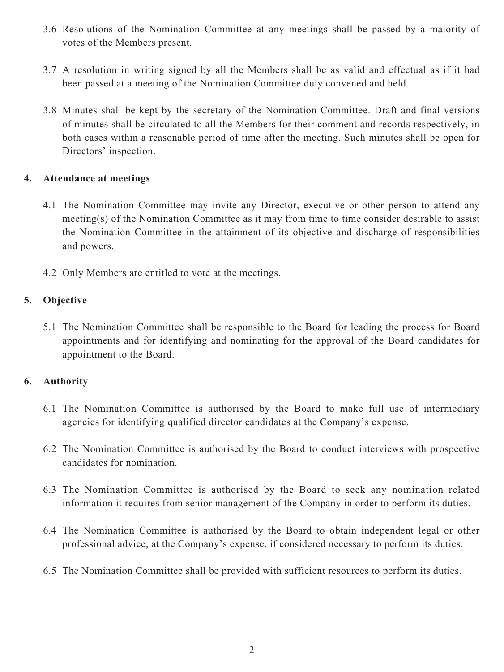- 3.6 Resolutions of the Nomination Committee at any meetings shall be passed by a majority of votes of the Members present.
- 3.7 A resolution in writing signed by all the Members shall be as valid and effectual as if it had been passed at a meeting of the Nomination Committee duly convened and held.
- 3.8 Minutes shall be kept by the secretary of the Nomination Committee. Draft and final versions of minutes shall be circulated to all the Members for their comment and records respectively, in both cases within a reasonable period of time after the meeting. Such minutes shall be open for Directors' inspection.

#### **4. Attendance at meetings**

- 4.1 The Nomination Committee may invite any Director, executive or other person to attend any meeting(s) of the Nomination Committee as it may from time to time consider desirable to assist the Nomination Committee in the attainment of its objective and discharge of responsibilities and powers.
- 4.2 Only Members are entitled to vote at the meetings.

# **5. Objective**

5.1 The Nomination Committee shall be responsible to the Board for leading the process for Board appointments and for identifying and nominating for the approval of the Board candidates for appointment to the Board.

## **6. Authority**

- 6.1 The Nomination Committee is authorised by the Board to make full use of intermediary agencies for identifying qualified director candidates at the Company's expense.
- 6.2 The Nomination Committee is authorised by the Board to conduct interviews with prospective candidates for nomination.
- 6.3 The Nomination Committee is authorised by the Board to seek any nomination related information it requires from senior management of the Company in order to perform its duties.
- 6.4 The Nomination Committee is authorised by the Board to obtain independent legal or other professional advice, at the Company's expense, if considered necessary to perform its duties.
- 6.5 The Nomination Committee shall be provided with sufficient resources to perform its duties.